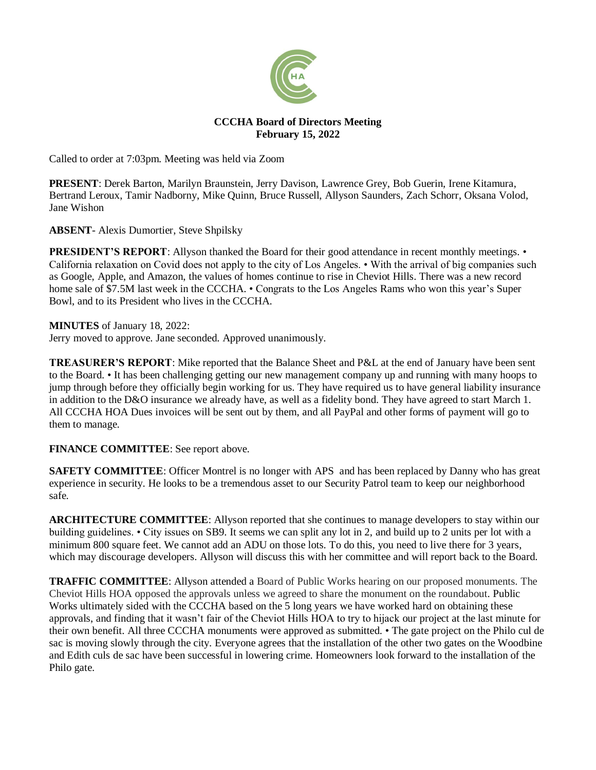

# **CCCHA Board of Directors Meeting February 15, 2022**

Called to order at 7:03pm. Meeting was held via Zoom

**PRESENT**: Derek Barton, Marilyn Braunstein, Jerry Davison, Lawrence Grey, Bob Guerin, Irene Kitamura, Bertrand Leroux, Tamir Nadborny, Mike Quinn, Bruce Russell, Allyson Saunders, Zach Schorr, Oksana Volod, Jane Wishon

**ABSENT**- Alexis Dumortier, Steve Shpilsky

**PRESIDENT'S REPORT:** Allyson thanked the Board for their good attendance in recent monthly meetings. • California relaxation on Covid does not apply to the city of Los Angeles. • With the arrival of big companies such as Google, Apple, and Amazon, the values of homes continue to rise in Cheviot Hills. There was a new record home sale of \$7.5M last week in the CCCHA. • Congrats to the Los Angeles Rams who won this year's Super Bowl, and to its President who lives in the CCCHA.

### **MINUTES** of January 18, 2022:

Jerry moved to approve. Jane seconded. Approved unanimously.

**TREASURER'S REPORT**: Mike reported that the Balance Sheet and P&L at the end of January have been sent to the Board. • It has been challenging getting our new management company up and running with many hoops to jump through before they officially begin working for us. They have required us to have general liability insurance in addition to the D&O insurance we already have, as well as a fidelity bond. They have agreed to start March 1. All CCCHA HOA Dues invoices will be sent out by them, and all PayPal and other forms of payment will go to them to manage.

# **FINANCE COMMITTEE**: See report above.

**SAFETY COMMITTEE:** Officer Montrel is no longer with APS and has been replaced by Danny who has great experience in security. He looks to be a tremendous asset to our Security Patrol team to keep our neighborhood safe.

**ARCHITECTURE COMMITTEE**: Allyson reported that she continues to manage developers to stay within our building guidelines. • City issues on SB9. It seems we can split any lot in 2, and build up to 2 units per lot with a minimum 800 square feet. We cannot add an ADU on those lots. To do this, you need to live there for 3 years, which may discourage developers. Allyson will discuss this with her committee and will report back to the Board.

**TRAFFIC COMMITTEE**: Allyson attended a Board of Public Works hearing on our proposed monuments. The Cheviot Hills HOA opposed the approvals unless we agreed to share the monument on the roundabout. Public Works ultimately sided with the CCCHA based on the 5 long years we have worked hard on obtaining these approvals, and finding that it wasn't fair of the Cheviot Hills HOA to try to hijack our project at the last minute for their own benefit. All three CCCHA monuments were approved as submitted. • The gate project on the Philo cul de sac is moving slowly through the city. Everyone agrees that the installation of the other two gates on the Woodbine and Edith culs de sac have been successful in lowering crime. Homeowners look forward to the installation of the Philo gate.